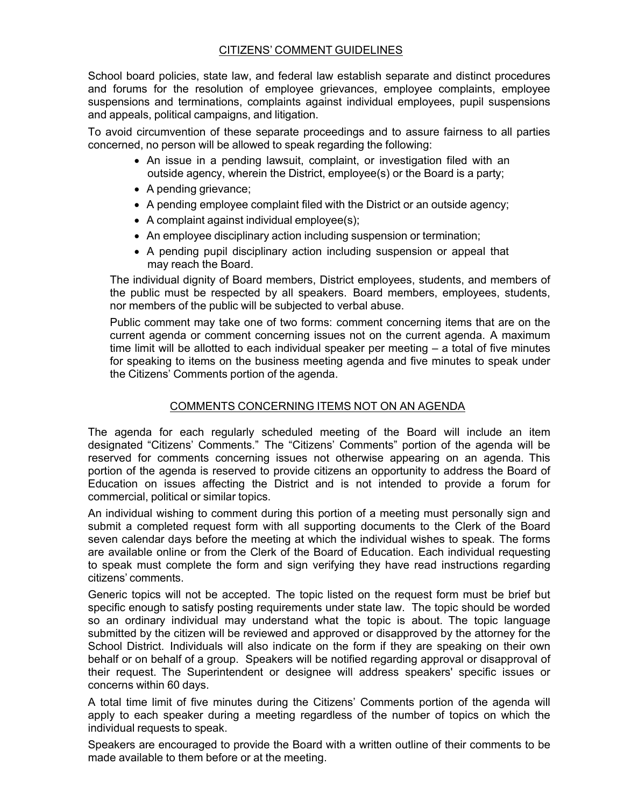## CITIZENS' COMMENT GUIDELINES

School board policies, state law, and federal law establish separate and distinct procedures and forums for the resolution of employee grievances, employee complaints, employee suspensions and terminations, complaints against individual employees, pupil suspensions and appeals, political campaigns, and litigation.

To avoid circumvention of these separate proceedings and to assure fairness to all parties concerned, no person will be allowed to speak regarding the following:

- An issue in a pending lawsuit, complaint, or investigation filed with an outside agency, wherein the District, employee(s) or the Board is a party;
- A pending grievance;
- A pending employee complaint filed with the District or an outside agency;
- A complaint against individual employee(s);
- An employee disciplinary action including suspension or termination;
- A pending pupil disciplinary action including suspension or appeal that may reach the Board.

The individual dignity of Board members, District employees, students, and members of the public must be respected by all speakers. Board members, employees, students, nor members of the public will be subjected to verbal abuse.

Public comment may take one of two forms: comment concerning items that are on the current agenda or comment concerning issues not on the current agenda. A maximum time limit will be allotted to each individual speaker per meeting – a total of five minutes for speaking to items on the business meeting agenda and five minutes to speak under the Citizens' Comments portion of the agenda.

## COMMENTS CONCERNING ITEMS NOT ON AN AGENDA

The agenda for each regularly scheduled meeting of the Board will include an item designated "Citizens' Comments." The "Citizens' Comments" portion of the agenda will be reserved for comments concerning issues not otherwise appearing on an agenda. This portion of the agenda is reserved to provide citizens an opportunity to address the Board of Education on issues affecting the District and is not intended to provide a forum for commercial, political or similar topics.

An individual wishing to comment during this portion of a meeting must personally sign and submit a completed request form with all supporting documents to the Clerk of the Board seven calendar days before the meeting at which the individual wishes to speak. The forms are available online or from the Clerk of the Board of Education. Each individual requesting to speak must complete the form and sign verifying they have read instructions regarding citizens' comments.

Generic topics will not be accepted. The topic listed on the request form must be brief but specific enough to satisfy posting requirements under state law. The topic should be worded so an ordinary individual may understand what the topic is about. The topic language submitted by the citizen will be reviewed and approved or disapproved by the attorney for the School District. Individuals will also indicate on the form if they are speaking on their own behalf or on behalf of a group. Speakers will be notified regarding approval or disapproval of their request. The Superintendent or designee will address speakers' specific issues or concerns within 60 days.

A total time limit of five minutes during the Citizens' Comments portion of the agenda will apply to each speaker during a meeting regardless of the number of topics on which the individual requests to speak.

Speakers are encouraged to provide the Board with a written outline of their comments to be made available to them before or at the meeting.